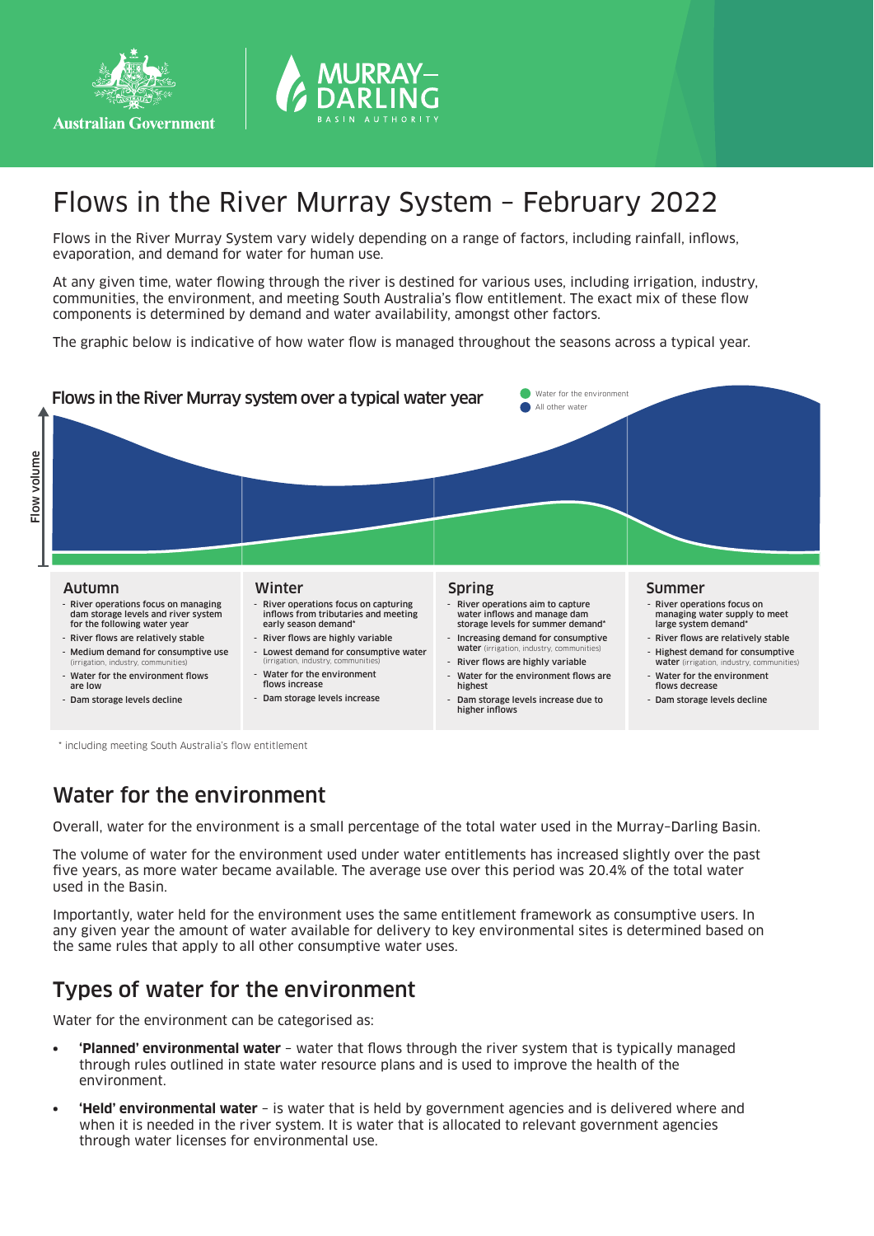



# Flows in the River Murray System – February 2022

Flows in the River Murray System vary widely depending on a range of factors, including rainfall, inflows, evaporation, and demand for water for human use.

At any given time, water flowing through the river is destined for various uses, including irrigation, industry, communities, the environment, and meeting South Australia's flow entitlement. The exact mix of these flow components is determined by demand and water availability, amongst other factors.

The graphic below is indicative of how water flow is managed throughout the seasons across a typical year.



\* including meeting South Australia's flow entitlement

### Water for the environment

Overall, water for the environment is a small percentage of the total water used in the Murray–Darling Basin.

The volume of water for the environment used under water entitlements has increased slightly over the past five years, as more water became available. The average use over this period was 20.4% of the total water used in the Basin.

Importantly, water held for the environment uses the same entitlement framework as consumptive users. In any given year the amount of water available for delivery to key environmental sites is determined based on the same rules that apply to all other consumptive water uses.

### Types of water for the environment

Water for the environment can be categorised as:

- **• 'Planned' environmental water** water that flows through the river system that is typically managed through rules outlined in state water resource plans and is used to improve the health of the environment.
- **• 'Held' environmental water** is water that is held by government agencies and is delivered where and when it is needed in the river system. It is water that is allocated to relevant government agencies through water licenses for environmental use.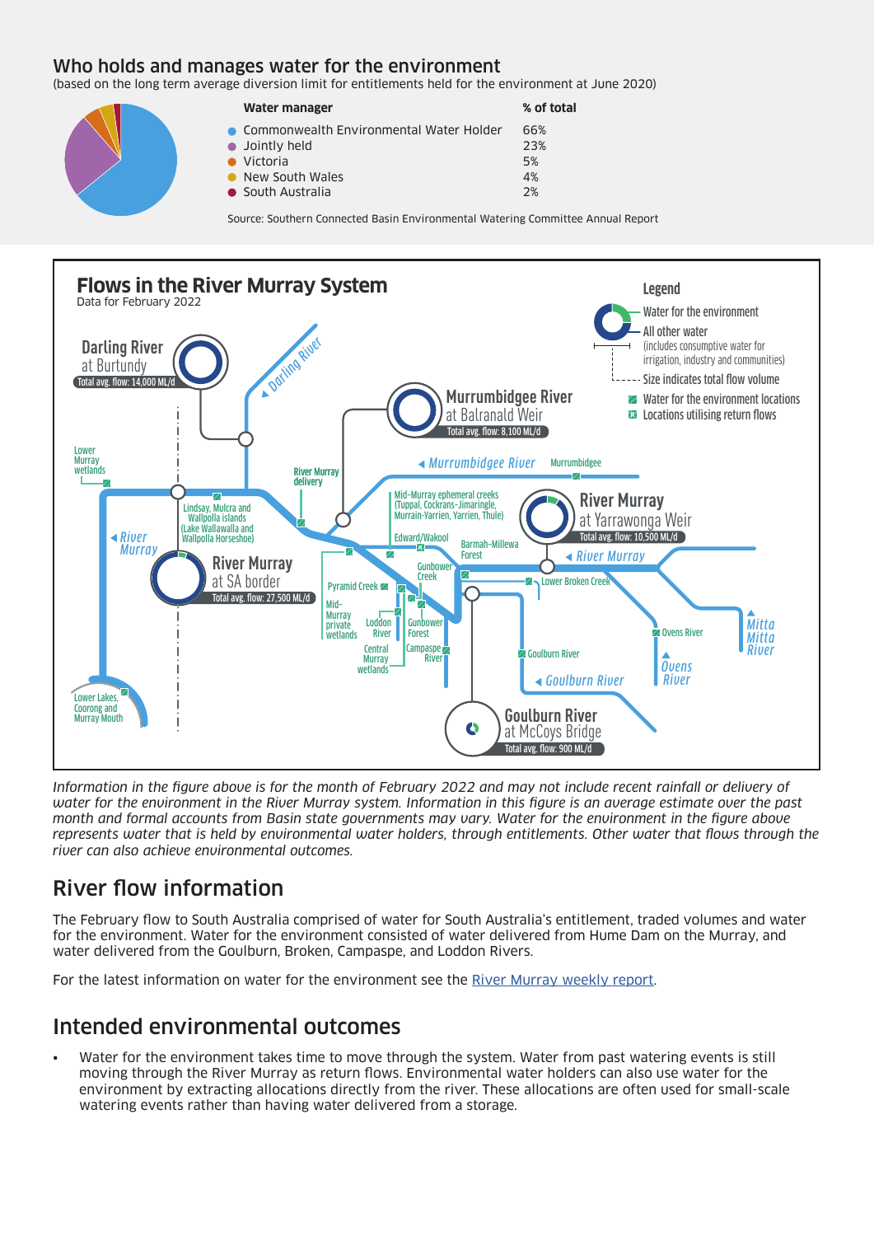#### Who holds and manages water for the environment

(based on the long term average diversion limit for entitlements held for the environment at June 2020)

| Water manager                             | % of total |
|-------------------------------------------|------------|
| • Commonwealth Environmental Water Holder | 66%        |
| • Jointly held                            | 23%        |
| $\bullet$ Victoria                        | 5%         |
| • New South Wales                         | 4%         |
| • South Australia                         | 2%         |

Source: Southern Connected Basin Environmental Watering Committee Annual Report



*Information in the figure above is for the month of February 2022 and may not include recent rainfall or delivery of water for the environment in the River Murray system. Information in this figure is an average estimate over the past month and formal accounts from Basin state governments may vary. Water for the environment in the figure above represents water that is held by environmental water holders, through entitlements. Other water that flows through the river can also achieve environmental outcomes.*

## River flow information

The February flow to South Australia comprised of water for South Australia's entitlement, traded volumes and water for the environment. Water for the environment consisted of water delivered from Hume Dam on the Murray, and water delivered from the Goulburn, Broken, Campaspe, and Loddon Rivers.

For the latest information on water for the environment see the River Murray weekly report.

### Intended environmental outcomes

• Water for the environment takes time to move through the system. Water from past watering events is still moving through the River Murray as return flows. Environmental water holders can also use water for the environment by extracting allocations directly from the river. These allocations are often used for small-scale watering events rather than having water delivered from a storage.